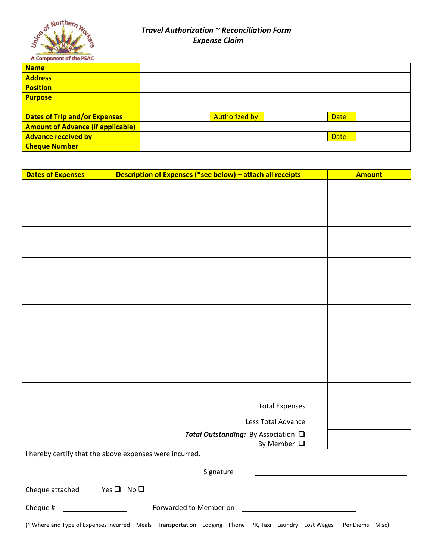

# *Travel Authorization ~ Reconciliation Form Expense Claim*

| <b>Name</b>                              |                      |             |  |
|------------------------------------------|----------------------|-------------|--|
| <b>Address</b>                           |                      |             |  |
| <b>Position</b>                          |                      |             |  |
| <b>Purpose</b>                           |                      |             |  |
|                                          |                      |             |  |
| <b>Dates of Trip and/or Expenses</b>     | <b>Authorized by</b> | <b>Date</b> |  |
| <b>Amount of Advance (if applicable)</b> |                      |             |  |
| <b>Advance received by</b>               |                      | <b>Date</b> |  |
| <b>Cheque Number</b>                     |                      |             |  |

| <b>Dates of Expenses</b> | Description of Expenses (*see below) - attach all receipts | <b>Amount</b> |
|--------------------------|------------------------------------------------------------|---------------|
|                          |                                                            |               |
|                          |                                                            |               |
|                          |                                                            |               |
|                          |                                                            |               |
|                          |                                                            |               |
|                          |                                                            |               |
|                          |                                                            |               |
|                          |                                                            |               |
|                          |                                                            |               |
|                          |                                                            |               |
|                          |                                                            |               |
|                          |                                                            |               |
|                          |                                                            |               |
|                          |                                                            |               |
|                          |                                                            |               |
|                          | <b>Total Expenses</b>                                      |               |

Less Total Advance

**Total Outstanding:** By Association **□** 

By Member  $\Box$ 

I hereby certify that the above expenses were incurred.

Signature

| Cheque attached | Yes $\Box$ No $\Box$ |  |
|-----------------|----------------------|--|
|                 |                      |  |

Cheque # Forwarded to Member on

(\* Where and Type of Expenses Incurred – Meals – Transportation – Lodging – Phone – PR, Taxi – Laundry – Lost Wages –– Per Diems – Misc)